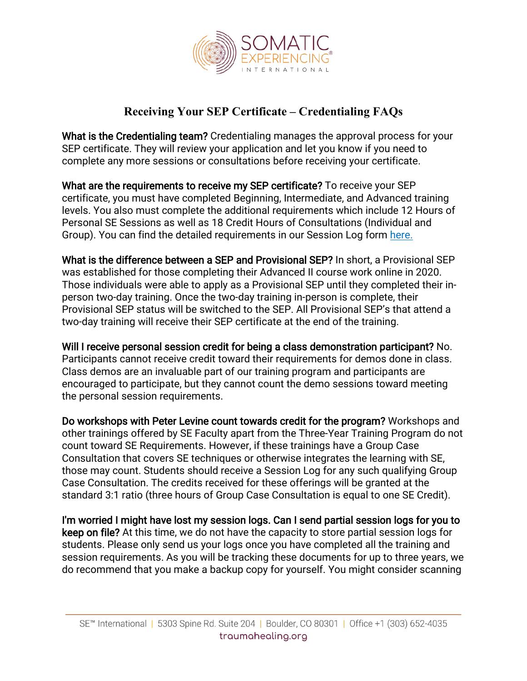

## **Receiving Your SEP Certificate – Credentialing FAQs**

What is the Credentialing team? Credentialing manages the approval process for your SEP certificate. They will review your application and let you know if you need to complete any more sessions or consultations before receiving your certificate.

What are the requirements to receive my SEP certificate? To receive your SEP certificate, you must have completed Beginning, Intermediate, and Advanced training levels. You also must complete the additional requirements which include 12 Hours of Personal SE Sessions as well as 18 Credit Hours of Consultations (Individual and Group). You can find the detailed requirements in our Session Log form [here.](https://hq892qzdgr1cn4n8hhv8d1f9-wpengine.netdna-ssl.com/wp-content/uploads/2021/04/Session_Log_Blank-rev.-4.21.21.pdf)

What is the difference between a SEP and Provisional SEP? In short, a Provisional SEP was established for those completing their Advanced II course work online in 2020. Those individuals were able to apply as a Provisional SEP until they completed their inperson two-day training. Once the two-day training in-person is complete, their Provisional SEP status will be switched to the SEP. All Provisional SEP's that attend a two-day training will receive their SEP certificate at the end of the training.

Will I receive personal session credit for being a class demonstration participant? No. Participants cannot receive credit toward their requirements for demos done in class. Class demos are an invaluable part of our training program and participants are encouraged to participate, but they cannot count the demo sessions toward meeting the personal session requirements.

Do workshops with Peter Levine count towards credit for the program? Workshops and other trainings offered by SE Faculty apart from the Three-Year Training Program do not count toward SE Requirements. However, if these trainings have a Group Case Consultation that covers SE techniques or otherwise integrates the learning with SE, those may count. Students should receive a Session Log for any such qualifying Group Case Consultation. The credits received for these offerings will be granted at the standard 3:1 ratio (three hours of Group Case Consultation is equal to one SE Credit).

I'm worried I might have lost my session logs. Can I send partial session logs for you to keep on file? At this time, we do not have the capacity to store partial session logs for students. Please only send us your logs once you have completed all the training and session requirements. As you will be tracking these documents for up to three years, we do recommend that you make a backup copy for yourself. You might consider scanning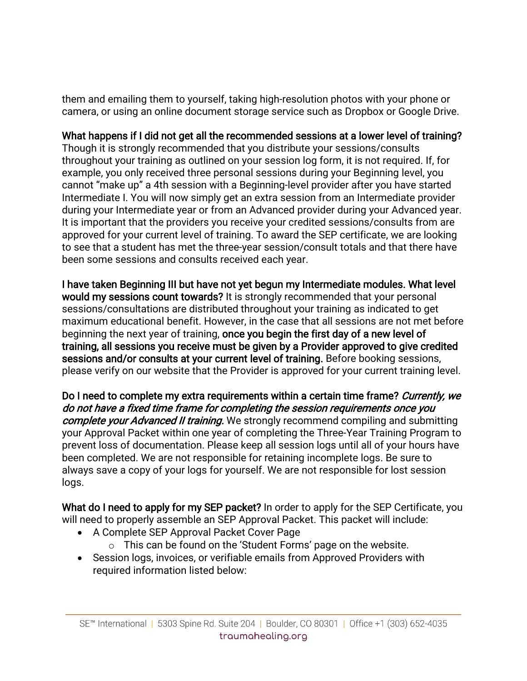them and emailing them to yourself, taking high-resolution photos with your phone or camera, or using an online document storage service such as Dropbox or Google Drive.

## What happens if I did not get all the recommended sessions at a lower level of training?

Though it is strongly recommended that you distribute your sessions/consults throughout your training as outlined on your session log form, it is not required. If, for example, you only received three personal sessions during your Beginning level, you cannot "make up" a 4th session with a Beginning-level provider after you have started Intermediate I. You will now simply get an extra session from an Intermediate provider during your Intermediate year or from an Advanced provider during your Advanced year. It is important that the providers you receive your credited sessions/consults from are approved for your current level of training. To award the SEP certificate, we are looking to see that a student has met the three-year session/consult totals and that there have been some sessions and consults received each year.

I have taken Beginning III but have not yet begun my Intermediate modules. What level would my sessions count towards? It is strongly recommended that your personal sessions/consultations are distributed throughout your training as indicated to get maximum educational benefit. However, in the case that all sessions are not met before beginning the next year of training, once you begin the first day of a new level of training, all sessions you receive must be given by a Provider approved to give credited sessions and/or consults at your current level of training. Before booking sessions, please verify on our website that the Provider is approved for your current training level.

Do I need to complete my extra requirements within a certain time frame? Currently, we do not have a fixed time frame for completing the session requirements once you complete your Advanced II training. We strongly recommend compiling and submitting your Approval Packet within one year of completing the Three-Year Training Program to prevent loss of documentation. Please keep all session logs until all of your hours have been completed. We are not responsible for retaining incomplete logs. Be sure to always save a copy of your logs for yourself. We are not responsible for lost session logs.

What do I need to apply for my SEP packet? In order to apply for the SEP Certificate, you will need to properly assemble an SEP Approval Packet. This packet will include:

- A Complete SEP Approval Packet Cover Page
	- $\circ$  This can be found on the 'Student Forms' page on the website.
- Session logs, invoices, or verifiable emails from Approved Providers with required information listed below: